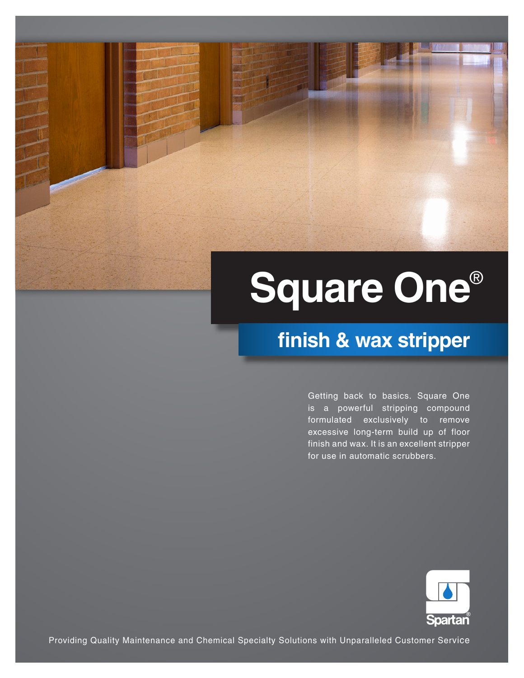# **Square One**®

## **finish & wax stripper**

Getting back to basics. Square One is a powerful stripping compound formulated exclusively to remove excessive long-term build up of floor finish and wax. It is an excellent stripper for use in automatic scrubbers.



Providing Quality Maintenance and Chemical Specialty Solutions with Unparalleled Customer Service